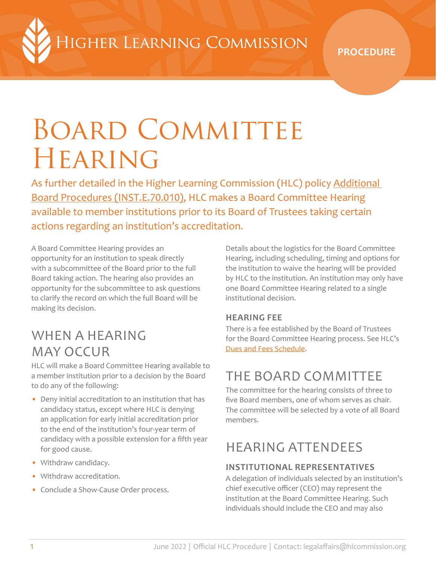HGHER LEARNING COMMISSION

**PROCEDURE**

# BOARD COMMITTEE **HEARING**

As further detailed in the Higher Learning Commission (HLC) policy [Additional](https://www.hlcommission.org/Policies/additional-board-procedures.html)  [Board Procedures \(INST.E.70.010\)](https://www.hlcommission.org/Policies/additional-board-procedures.html), HLC makes a Board Committee Hearing available to member institutions prior to its Board of Trustees taking certain actions regarding an institution's accreditation.

A Board Committee Hearing provides an opportunity for an institution to speak directly with a subcommittee of the Board prior to the full Board taking action. The hearing also provides an opportunity for the subcommittee to ask questions to clarify the record on which the full Board will be making its decision.

### WHEN A HEARING MAY OCCUR

HLC will make a Board Committee Hearing available to a member institution prior to a decision by the Board to do any of the following:

- Deny initial accreditation to an institution that has candidacy status, except where HLC is denying an application for early initial accreditation prior to the end of the institution's four-year term of candidacy with a possible extension for a fifth year for good cause.
- Withdraw candidacy.
- Withdraw accreditation.
- Conclude a Show-Cause Order process.

Details about the logistics for the Board Committee Hearing, including scheduling, timing and options for the institution to waive the hearing will be provided by HLC to the institution. An institution may only have one Board Committee Hearing related to a single institutional decision.

#### **HEARING FEE**

There is a fee established by the Board of Trustees for the Board Committee Hearing process. See HLC's [Dues and Fees Schedule](https://www.hlcommission.org/Accreditation/dues-and-fees-schedule.html).

### THE BOARD COMMITTEE

The committee for the hearing consists of three to five Board members, one of whom serves as chair. The committee will be selected by a vote of all Board members.

#### HEARING ATTENDEES

#### **INSTITUTIONAL REPRESENTATIVES**

A delegation of individuals selected by an institution's chief executive officer (CEO) may represent the institution at the Board Committee Hearing. Such individuals should include the CEO and may also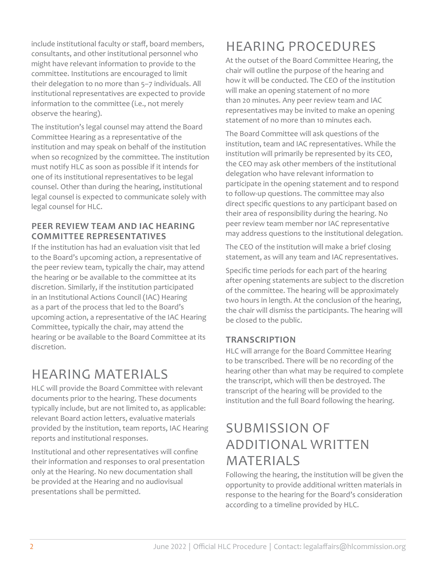include institutional faculty or staff, board members, consultants, and other institutional personnel who might have relevant information to provide to the committee. Institutions are encouraged to limit their delegation to no more than 5–7 individuals. All institutional representatives are expected to provide information to the committee (i.e., not merely observe the hearing).

The institution's legal counsel may attend the Board Committee Hearing as a representative of the institution and may speak on behalf of the institution when so recognized by the committee. The institution must notify HLC as soon as possible if it intends for one of its institutional representatives to be legal counsel. Other than during the hearing, institutional legal counsel is expected to communicate solely with legal counsel for HLC.

#### **PEER REVIEW TEAM AND IAC HEARING COMMITTEE REPRESENTATIVES**

If the institution has had an evaluation visit that led to the Board's upcoming action, a representative of the peer review team, typically the chair, may attend the hearing or be available to the committee at its discretion. Similarly, if the institution participated in an Institutional Actions Council (IAC) Hearing as a part of the process that led to the Board's upcoming action, a representative of the IAC Hearing Committee, typically the chair, may attend the hearing or be available to the Board Committee at its discretion.

### HEARING MATERIALS

HLC will provide the Board Committee with relevant documents prior to the hearing. These documents typically include, but are not limited to, as applicable: relevant Board action letters, evaluative materials provided by the institution, team reports, IAC Hearing reports and institutional responses.

Institutional and other representatives will confine their information and responses to oral presentation only at the Hearing. No new documentation shall be provided at the Hearing and no audiovisual presentations shall be permitted.

### HEARING PROCEDURES

At the outset of the Board Committee Hearing, the chair will outline the purpose of the hearing and how it will be conducted. The CEO of the institution will make an opening statement of no more than 20 minutes. Any peer review team and IAC representatives may be invited to make an opening statement of no more than 10 minutes each.

The Board Committee will ask questions of the institution, team and IAC representatives. While the institution will primarily be represented by its CEO, the CEO may ask other members of the institutional delegation who have relevant information to participate in the opening statement and to respond to follow-up questions. The committee may also direct specific questions to any participant based on their area of responsibility during the hearing. No peer review team member nor IAC representative may address questions to the institutional delegation.

The CEO of the institution will make a brief closing statement, as will any team and IAC representatives.

Specific time periods for each part of the hearing after opening statements are subject to the discretion of the committee. The hearing will be approximately two hours in length. At the conclusion of the hearing, the chair will dismiss the participants. The hearing will be closed to the public.

#### **TRANSCRIPTION**

HLC will arrange for the Board Committee Hearing to be transcribed. There will be no recording of the hearing other than what may be required to complete the transcript, which will then be destroyed. The transcript of the hearing will be provided to the institution and the full Board following the hearing.

#### SUBMISSION OF ADDITIONAL WRITTEN MATERIALS

Following the hearing, the institution will be given the opportunity to provide additional written materials in response to the hearing for the Board's consideration according to a timeline provided by HLC.